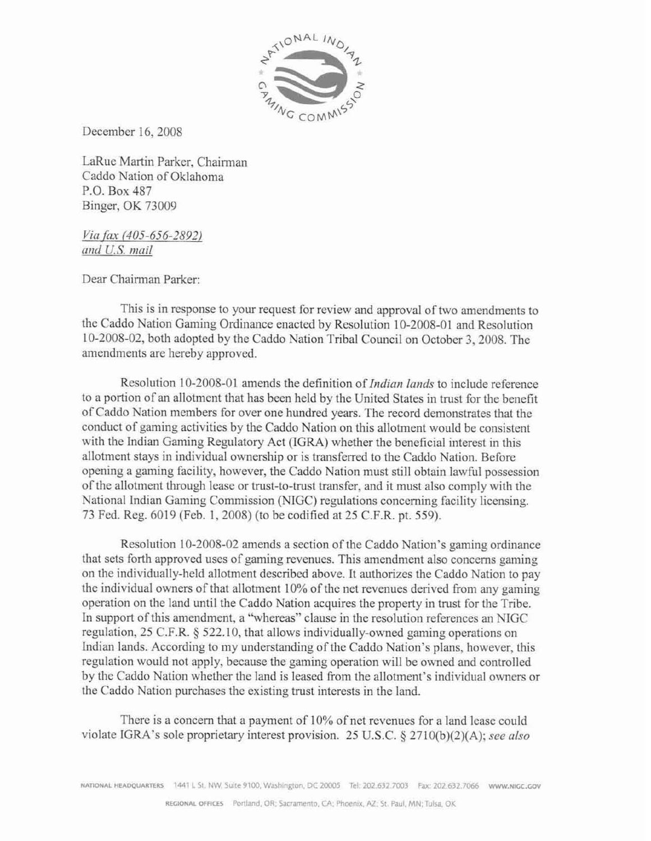

December 16,2008

LaRue Martin Parker, Chairman Caddo Nation of Oklahoma P.O. Box 487 Binger, OK 73009

*Via fax (405-656-2892)* and *U.S.* mail

Dear Chairman Parker:

This is in rcsponse to your request far review and approval of two amendments **to**  the Caddo Nation Gaming Ordinance enacted by Resolution 10-2008-01 and Resolution 10-2008-02, both adopted by the Caddo Nation Tribal Council an October 3.2005. The amendments are hereby approved.

Resolution 10-2008-01 amends the definition of *Indian lands* to include reference to a portion of an allotment that has been held by the United States in trust for the benefit of Caddo Nation members for over one hundred years. The rccord demonstrates that the conduct of gaming activities by the Cadda Nation on this allotment would be consistent with the Indian Gaming Regulatory Act (IGRA) whether the beneficial interest in this allotment stays in individual ownership or is transferred to the Caddo Nation. Before opening a gaming facility, however, the Caddo Nation must still obtain lawful possession of the allotment through lease or trust-to-trust transfer, and it must also comply with the National Indian Gaming Commission (NIGC) regulations concerning facility licensing. 73 Fed. Reg. 6019 (Feb. 1, 2008) (to be codified at 25 C.F.R. pt. 559).

Resolution **t** 0-2008-02 amends a section of the **Caddo** Nation's gaming ordinance that sets Forth approved uses of gaming revenues. This amendment also concerns gaming on the individually-held allotment described above. It authorizes thc Caddo Nation to pay the individual owners of that allotment  $10\%$  of the net revenues derived from any gaming operation en the land until the Caddo Nation acquires the property in trust for the Tribe. In support of this amendment, a "whereas"' clause in the resolution references an NIGC regulation, 25 C.F.R. 4 522.10, that allows **individually-awned** gaming opcrations on Indian lands. **According** to my understanding of the Caddo Nation's plans, however, this regulation would **not** apply, hecause the gaming operation will hc owned and controlled by the Caddo Nation whether the land is **lcased** from the allotment's individual owners or the Caddo Nation purchases the existing trust interests in the land.

There is a concern that a payment of **10%** of net revenues for a land lease could violate IGRA's sole proprietary interest provision. 25 U.S.C. § 2710(b)(2)(A); see also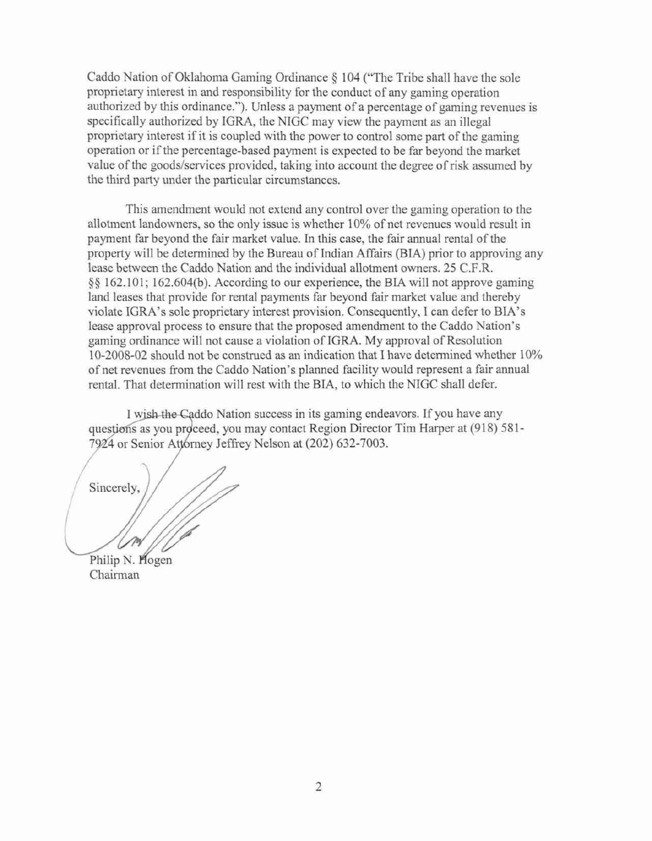Caddo **Nation** of **Oklahoma** Gaming Ordinance **I04** ('The Tribe **sIlalI have** the sole proprietary interest in and responsibility for the conduct of any **gaming** operation authorized hy this ordinance."). Unless a payment of **n** percentage of gaming revenucs is **specificakly** authorized by **IGRA,** the NIGC may vicw the paymcnt **as an** illegal **proprietary** interest if it **is** coupled with the power to control some part of thc gaming operation or ir thc **percentage-based** payment **is expected** to be far beyond the market value of the goods/scrvices provided, taking into **account** the degree **of risk** assumed by the third **pasty** under the particular circumstances.

This amendment would not extend any control over the gaming operation to the allotment landowmets, *so* the only issue is **whether** I 0% of net revenues would result in payment far beyond the fair market **value. In this case,** the hir **annual** rental of the **property will he determined** by the **Bureau** of Indian Affairs **(BTA)** prior to **approving** any Icase between the Caddo Nation and the individual alloiment owners. 25 C.F.R.  $\S$ § 162.101; 162.604(b). According to our experience, the BIA will not approve gaming **land** leases that provide for rental payments far beyond fair market value and therchy violate IGRA's sole proprietary interest provision. Consequently, I can defer to BIA's **lease** approval **precess to** ensurc that the **proposed** amendment to the Caddo Nation's **gaming ordinance will** not **cause** a violation of **IGRA.** My approval of Resolution IO-2008-02 should not be construed as an indication **that** I have determined whether 10% of net revenues From the Caddo Nation's planned facility would represent a fair annual rental. That determination will rest with the **BIA,** to which the **WGC** shall defer.

I wish the Caddo Nation success in its gaming endeavors. If you have any questions as you proceed, you may contact Region Director Tim Harper at (918) 581-7924 or Senior Attorney Jeffrey Nelson at (202) 632-7003.

Sincerely.

Philip N. Hogen Chairman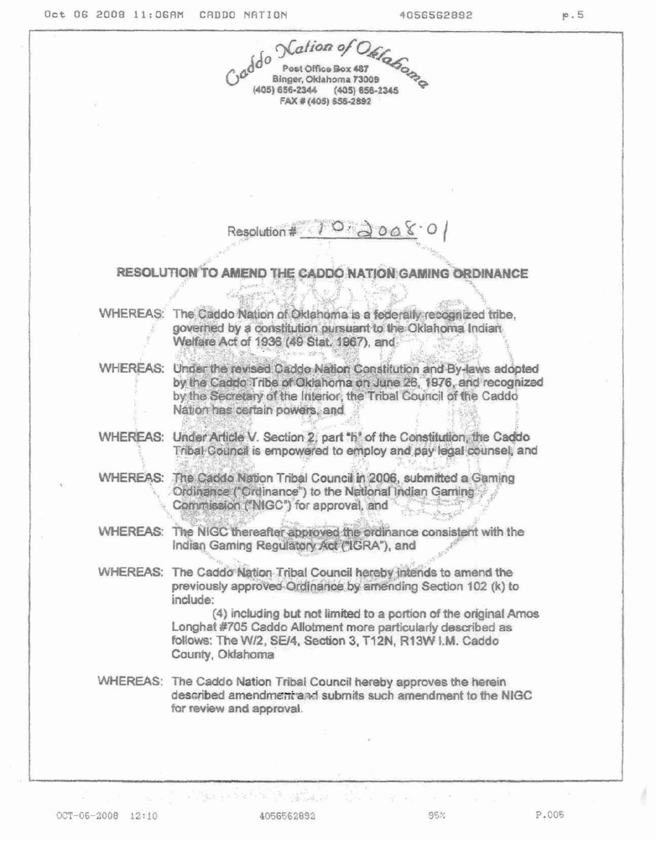|  | godo Nation of Office                                                                                                                                                                                                                                                                                                                                              |
|--|--------------------------------------------------------------------------------------------------------------------------------------------------------------------------------------------------------------------------------------------------------------------------------------------------------------------------------------------------------------------|
|  | (405) 656-2344 (405) 656-2345<br>FAX # (405) 656-2892                                                                                                                                                                                                                                                                                                              |
|  |                                                                                                                                                                                                                                                                                                                                                                    |
|  |                                                                                                                                                                                                                                                                                                                                                                    |
|  | Resolution #                                                                                                                                                                                                                                                                                                                                                       |
|  | RESOLUTION TO AMEND THE CADDO NATION GAMING ORDINANCE                                                                                                                                                                                                                                                                                                              |
|  | WHEREAS: The Caddo Nation of Oklahoma is a federally recognized tribe.<br>governed by a constitution pursuant to the Oklahoma Indian<br>Welfare Act of 1936 (49 Stat. 1967), and                                                                                                                                                                                   |
|  | WHEREAS: Under the revised Cadde Nation Constitution and By-laws adopted<br>by the Caddo Tribe of Oklahoma on June 26, 1976, and recognized<br>by the Secretary of the Interior, the Tribal Council of the Caddo<br>Nation has certain powers, and                                                                                                                 |
|  | WHEREAS: Under Article V. Section 2, part "h" of the Constitution, the Caddo<br>Tribal Council is empowered to employ and pay legal counsel, and                                                                                                                                                                                                                   |
|  | WHEREAS: The Caddo Nation Tribal Council in 2006, submitted a Gaming<br>Ordinance ("Ordinance") to the National Indian Gaming<br>Commission ("NIGC") for approval, and                                                                                                                                                                                             |
|  | WHEREAS: The NIGC thereafter approved the ordinance consistent with the<br>Indian Gaming Regulatory Act ("IGRA"), and                                                                                                                                                                                                                                              |
|  | WHEREAS: The Caddo Nation Tribal Council hereby intends to amend the<br>previously approved Ordinance by amending Section 102 (k) to<br>include:<br>(4) including but not limited to a portion of the original Amos<br>Longhat #705 Caddo Allotment more particularly described as<br>follows: The W/2, SE/4, Section 3, T12N, R13W I.M. Caddo<br>County, Oklahoma |
|  | WHEREAS: The Caddo Nation Tribal Council hereby approves the herein<br>described amendment and submits such amendment to the NIGC<br>for review and approval.                                                                                                                                                                                                      |
|  |                                                                                                                                                                                                                                                                                                                                                                    |
|  |                                                                                                                                                                                                                                                                                                                                                                    |

4056562892

the community of the probability of the community of the community of the community of the community of the community

95%

 $\sim 10^{-10}$  M

ł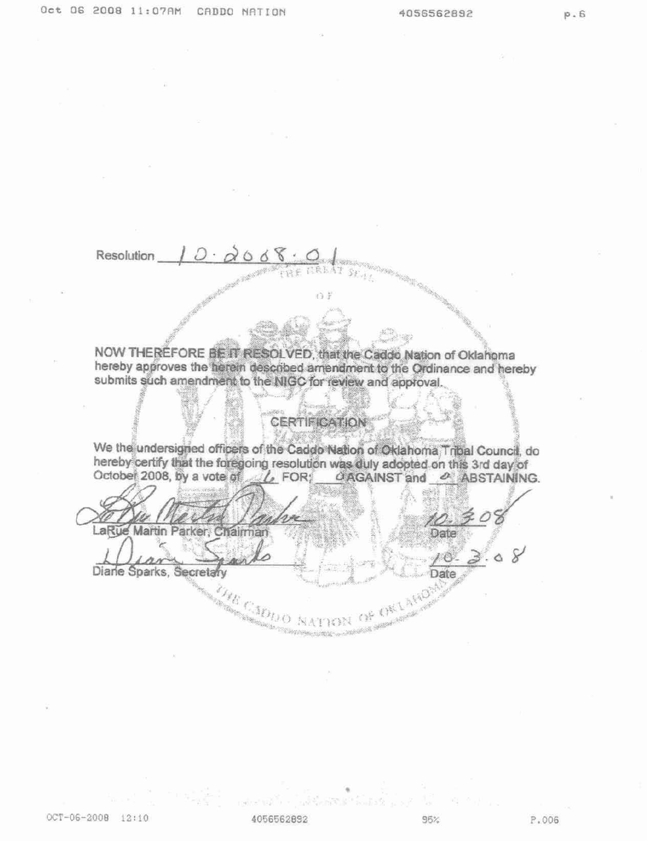Resolution

NOW THEREFORE BE IT RESOLVED, that the Caddo Nation of Oklahoma hereby approves the herein described amendment to the Ordinance and hereby submits such amendment to the NIGC for review and approval.

o F

## **CERTIFICATION**

We the undersigned officers of the Caddo Nation of Oklahoma, Tribal Council, do hereby certify that the foregoing resolution was duly adopted on this 3rd day of October 2008, by a vote of L FOR; CAGAINST and & ABSTAINING.

LaRue Martin Parker airman Date Diane Sparks, Secretary Date AFEISTA **PARC** OF OKL

4056562892

96%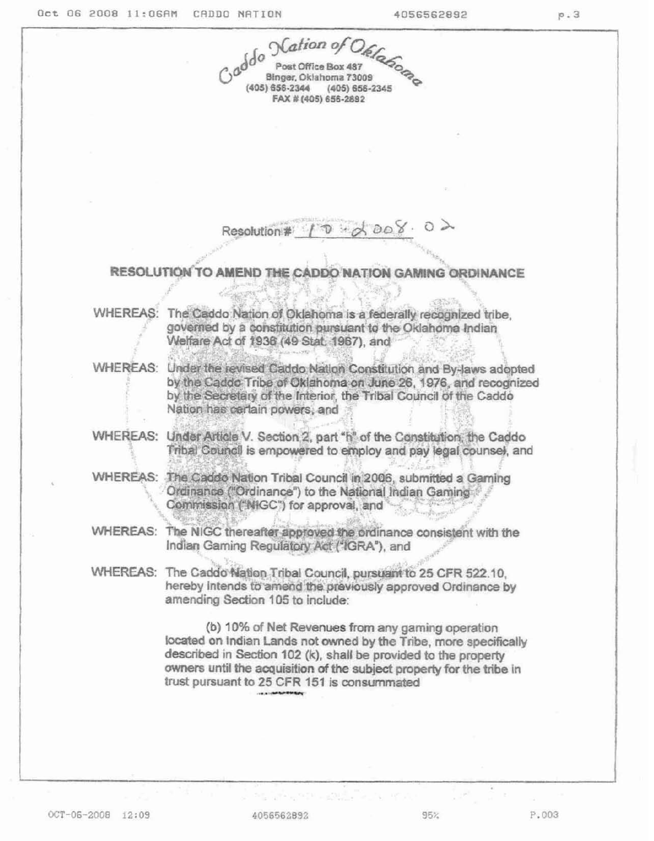|                 | godo Nation of Ofelance                                                                                                                                                                                                                                                                                           |  |
|-----------------|-------------------------------------------------------------------------------------------------------------------------------------------------------------------------------------------------------------------------------------------------------------------------------------------------------------------|--|
|                 | (405) 656-2344 (405) 656-2345<br>FAX # (405) 656-2892                                                                                                                                                                                                                                                             |  |
|                 |                                                                                                                                                                                                                                                                                                                   |  |
|                 |                                                                                                                                                                                                                                                                                                                   |  |
|                 |                                                                                                                                                                                                                                                                                                                   |  |
|                 |                                                                                                                                                                                                                                                                                                                   |  |
|                 | 008.02                                                                                                                                                                                                                                                                                                            |  |
|                 | Resolution #                                                                                                                                                                                                                                                                                                      |  |
|                 | RESOLUTION TO AMEND THE CADDO NATION GAMING ORDINANCE                                                                                                                                                                                                                                                             |  |
|                 |                                                                                                                                                                                                                                                                                                                   |  |
| <b>WHEREAS:</b> | <b>REALWAY</b><br>The Caddo Nation of Oklahoma is a federally recognized tribe,<br>governed by a constitution pursuant to the Oklahoma Indian                                                                                                                                                                     |  |
|                 | Welfare Act of 1936 (49 Stat. 1967), and                                                                                                                                                                                                                                                                          |  |
|                 | WHEREAS: Under the revised Caddo Nation Constitution and By-laws adopted<br>by the Caddo Tribe of Oklahoma on June 26, 1976, and recognized<br>by the Secretary of the Interior, the Tribal Council of the Caddo<br>Nation has cartain powers, and                                                                |  |
|                 | WHEREAS: Under Article V. Section 2, part "h" of the Constitution, the Caddo                                                                                                                                                                                                                                      |  |
|                 | Tribal Council is empowered to employ and pay legal counsel, and                                                                                                                                                                                                                                                  |  |
|                 | WHEREAS: The Caddo Nation Tribal Council in 2006, submitted a Gaming<br>Ordinance ("Ordinance") to the National Indian Gaming<br>Commission ("NIGC") for approval, and                                                                                                                                            |  |
|                 | WHEREAS: The NIGC thereafter approved the ordinance consistent with the<br>Indian Gaming Regulatory Act ("IGRA"), and                                                                                                                                                                                             |  |
|                 | WHEREAS: The Caddo Nation Tribal Council, pursuant to 25 CFR 522.10,<br>hereby intends to amend the previously approved Ordinance by<br>amending Section 105 to include:                                                                                                                                          |  |
|                 | (b) 10% of Net Revenues from any gaming operation<br>located on Indian Lands not owned by the Tribe, more specifically<br>described in Section 102 (k), shall be provided to the property<br>owners until the acquisition of the subject property for the tribe in<br>trust pursuant to 25 CFR 151 is consummated |  |
|                 |                                                                                                                                                                                                                                                                                                                   |  |
|                 |                                                                                                                                                                                                                                                                                                                   |  |

4056562892

 $95%$ 

 $\label{eq:3.1} \mathcal{D}(\frac{1}{2\pi}\frac{\partial}{\partial t}+\lambda_{\rm B} \mathcal{D}^{\rm T} \mathcal{D}^{\rm T}+\frac{1}{2\pi}\mathcal{D}^{\rm T} \mathcal{D}^{\rm T}+\frac{1}{2\pi}\mathcal{D}^{\rm T} \mathcal{D}^{\rm T}+\mathcal{D}^{\rm T} \mathcal{D}^{\rm T} \mathcal{D}^{\rm T}+\mathcal{D}^{\rm T} \mathcal{D}^{\rm T} \mathcal{D}^{\rm T}+\mathcal{D}^{\rm T} \mathcal{D}^{\rm T} \mathcal{D}^{\rm T}$